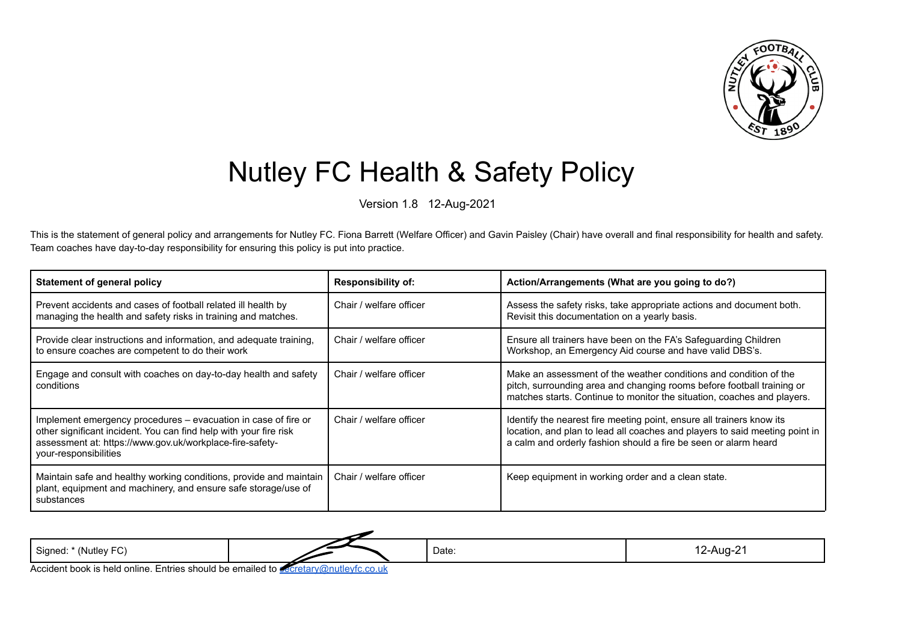

## Nutley FC Health & Safety Policy

Version 1.8 12-Aug-2021

This is the statement of general policy and arrangements for Nutley FC. Fiona Barrett (Welfare Officer) and Gavin Paisley (Chair) have overall and final responsibility for health and safety. Team coaches have day-to-day responsibility for ensuring this policy is put into practice.

| Statement of general policy                                                                                                                                                                                              | <b>Responsibility of:</b> | Action/Arrangements (What are you going to do?)                                                                                                                                                                         |
|--------------------------------------------------------------------------------------------------------------------------------------------------------------------------------------------------------------------------|---------------------------|-------------------------------------------------------------------------------------------------------------------------------------------------------------------------------------------------------------------------|
| Prevent accidents and cases of football related ill health by<br>managing the health and safety risks in training and matches.                                                                                           | Chair / welfare officer   | Assess the safety risks, take appropriate actions and document both.<br>Revisit this documentation on a yearly basis.                                                                                                   |
| Provide clear instructions and information, and adequate training,<br>to ensure coaches are competent to do their work                                                                                                   | Chair / welfare officer   | Ensure all trainers have been on the FA's Safeguarding Children<br>Workshop, an Emergency Aid course and have valid DBS's.                                                                                              |
| Engage and consult with coaches on day-to-day health and safety<br>conditions                                                                                                                                            | Chair / welfare officer   | Make an assessment of the weather conditions and condition of the<br>pitch, surrounding area and changing rooms before football training or<br>matches starts. Continue to monitor the situation, coaches and players.  |
| Implement emergency procedures – evacuation in case of fire or<br>other significant incident. You can find help with your fire risk<br>assessment at: https://www.gov.uk/workplace-fire-safety-<br>your-responsibilities | Chair / welfare officer   | Identify the nearest fire meeting point, ensure all trainers know its<br>location, and plan to lead all coaches and players to said meeting point in<br>a calm and orderly fashion should a fire be seen or alarm heard |
| Maintain safe and healthy working conditions, provide and maintain<br>plant, equipment and machinery, and ensure safe storage/use of<br>substances                                                                       | Chair / welfare officer   | Keep equipment in working order and a clean state.                                                                                                                                                                      |

Signed: \* (Nutley FC) Date: 12-Aug-21

Accident book is held online. Entries should be emailed to [secretary@nutleyfc.co.uk](mailto:secretary@nutleyfc.co.uk)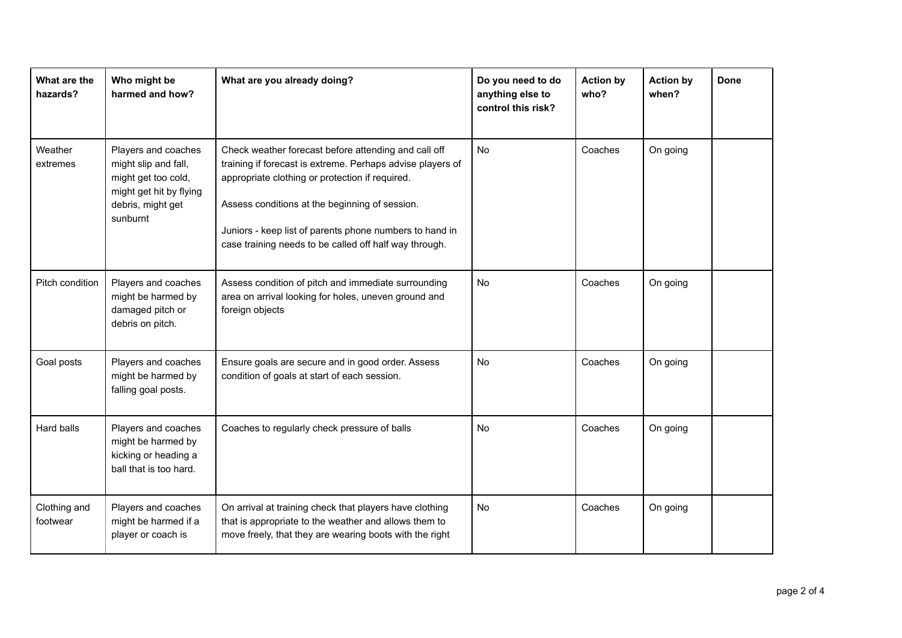| What are the<br>hazards? | Who might be<br>harmed and how?                                                                                                | What are you already doing?                                                                                                                                                                                                                                                                                                                  | Do you need to do<br>anything else to<br>control this risk? | <b>Action by</b><br>who? | <b>Action by</b><br>when? | <b>Done</b> |
|--------------------------|--------------------------------------------------------------------------------------------------------------------------------|----------------------------------------------------------------------------------------------------------------------------------------------------------------------------------------------------------------------------------------------------------------------------------------------------------------------------------------------|-------------------------------------------------------------|--------------------------|---------------------------|-------------|
| Weather<br>extremes      | Players and coaches<br>might slip and fall,<br>might get too cold,<br>might get hit by flying<br>debris, might get<br>sunburnt | Check weather forecast before attending and call off<br>training if forecast is extreme. Perhaps advise players of<br>appropriate clothing or protection if required.<br>Assess conditions at the beginning of session.<br>Juniors - keep list of parents phone numbers to hand in<br>case training needs to be called off half way through. | <b>No</b>                                                   | Coaches                  | On going                  |             |
| Pitch condition          | Players and coaches<br>might be harmed by<br>damaged pitch or<br>debris on pitch.                                              | Assess condition of pitch and immediate surrounding<br>area on arrival looking for holes, uneven ground and<br>foreign objects                                                                                                                                                                                                               | No                                                          | Coaches                  | On going                  |             |
| Goal posts               | Players and coaches<br>might be harmed by<br>falling goal posts.                                                               | Ensure goals are secure and in good order. Assess<br>condition of goals at start of each session.                                                                                                                                                                                                                                            | No                                                          | Coaches                  | On going                  |             |
| Hard balls               | Players and coaches<br>might be harmed by<br>kicking or heading a<br>ball that is too hard.                                    | Coaches to regularly check pressure of balls                                                                                                                                                                                                                                                                                                 | <b>No</b>                                                   | Coaches                  | On going                  |             |
| Clothing and<br>footwear | Players and coaches<br>might be harmed if a<br>player or coach is                                                              | On arrival at training check that players have clothing<br>that is appropriate to the weather and allows them to<br>move freely, that they are wearing boots with the right                                                                                                                                                                  | <b>No</b>                                                   | Coaches                  | On going                  |             |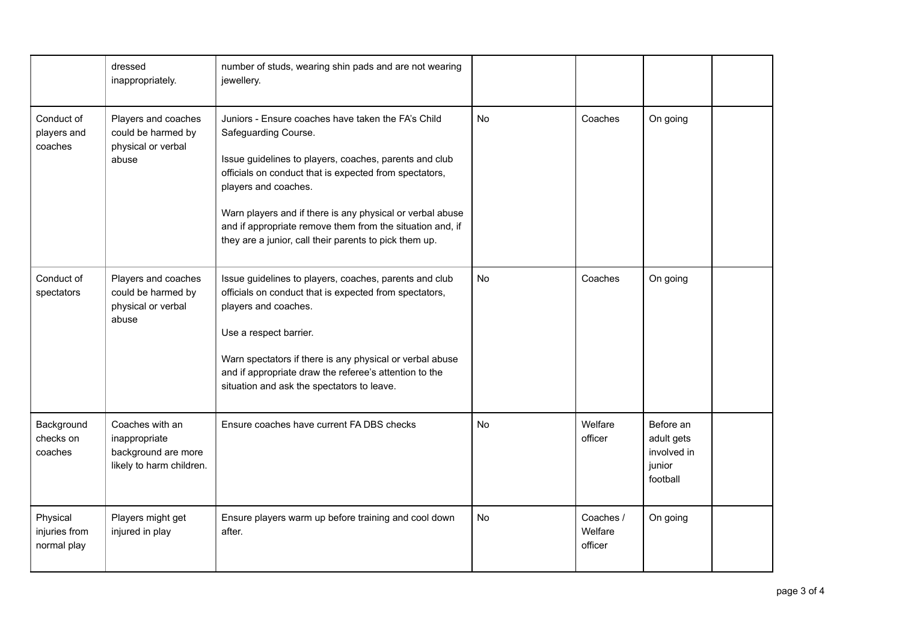|                                          | dressed<br>inappropriately.                                                         | number of studs, wearing shin pads and are not wearing<br>jewellery.                                                                                                                                                                                                                                                                                                                                       |           |                                 |                                                              |  |
|------------------------------------------|-------------------------------------------------------------------------------------|------------------------------------------------------------------------------------------------------------------------------------------------------------------------------------------------------------------------------------------------------------------------------------------------------------------------------------------------------------------------------------------------------------|-----------|---------------------------------|--------------------------------------------------------------|--|
| Conduct of<br>players and<br>coaches     | Players and coaches<br>could be harmed by<br>physical or verbal<br>abuse            | Juniors - Ensure coaches have taken the FA's Child<br>Safeguarding Course.<br>Issue guidelines to players, coaches, parents and club<br>officials on conduct that is expected from spectators,<br>players and coaches.<br>Warn players and if there is any physical or verbal abuse<br>and if appropriate remove them from the situation and, if<br>they are a junior, call their parents to pick them up. | No        | Coaches                         | On going                                                     |  |
| Conduct of<br>spectators                 | Players and coaches<br>could be harmed by<br>physical or verbal<br>abuse            | Issue guidelines to players, coaches, parents and club<br>officials on conduct that is expected from spectators,<br>players and coaches.<br>Use a respect barrier.<br>Warn spectators if there is any physical or verbal abuse<br>and if appropriate draw the referee's attention to the<br>situation and ask the spectators to leave.                                                                     | <b>No</b> | Coaches                         | On going                                                     |  |
| Background<br>checks on<br>coaches       | Coaches with an<br>inappropriate<br>background are more<br>likely to harm children. | Ensure coaches have current FA DBS checks                                                                                                                                                                                                                                                                                                                                                                  | <b>No</b> | Welfare<br>officer              | Before an<br>adult gets<br>involved in<br>junior<br>football |  |
| Physical<br>injuries from<br>normal play | Players might get<br>injured in play                                                | Ensure players warm up before training and cool down<br>after.                                                                                                                                                                                                                                                                                                                                             | No        | Coaches /<br>Welfare<br>officer | On going                                                     |  |